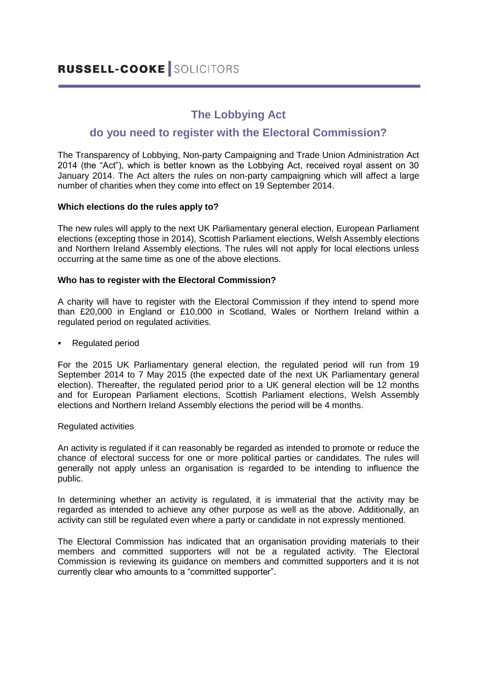# **The Lobbying Act**

# **do you need to register with the Electoral Commission?**

The Transparency of Lobbying, Non-party Campaigning and Trade Union Administration Act 2014 (the "Act"), which is better known as the Lobbying Act, received royal assent on 30 January 2014. The Act alters the rules on non-party campaigning which will affect a large number of charities when they come into effect on 19 September 2014.

# **Which elections do the rules apply to?**

The new rules will apply to the next UK Parliamentary general election, European Parliament elections (excepting those in 2014), Scottish Parliament elections, Welsh Assembly elections and Northern Ireland Assembly elections. The rules will not apply for local elections unless occurring at the same time as one of the above elections.

## **Who has to register with the Electoral Commission?**

A charity will have to register with the Electoral Commission if they intend to spend more than £20,000 in England or £10,000 in Scotland, Wales or Northern Ireland within a regulated period on regulated activities.

## Regulated period

For the 2015 UK Parliamentary general election, the regulated period will run from 19 September 2014 to 7 May 2015 (the expected date of the next UK Parliamentary general election). Thereafter, the regulated period prior to a UK general election will be 12 months and for European Parliament elections, Scottish Parliament elections, Welsh Assembly elections and Northern Ireland Assembly elections the period will be 4 months.

#### Regulated activities

An activity is regulated if it can reasonably be regarded as intended to promote or reduce the chance of electoral success for one or more political parties or candidates. The rules will generally not apply unless an organisation is regarded to be intending to influence the public.

In determining whether an activity is regulated, it is immaterial that the activity may be regarded as intended to achieve any other purpose as well as the above. Additionally, an activity can still be regulated even where a party or candidate in not expressly mentioned.

The Electoral Commission has indicated that an organisation providing materials to their members and committed supporters will not be a regulated activity. The Electoral Commission is reviewing its guidance on members and committed supporters and it is not currently clear who amounts to a "committed supporter".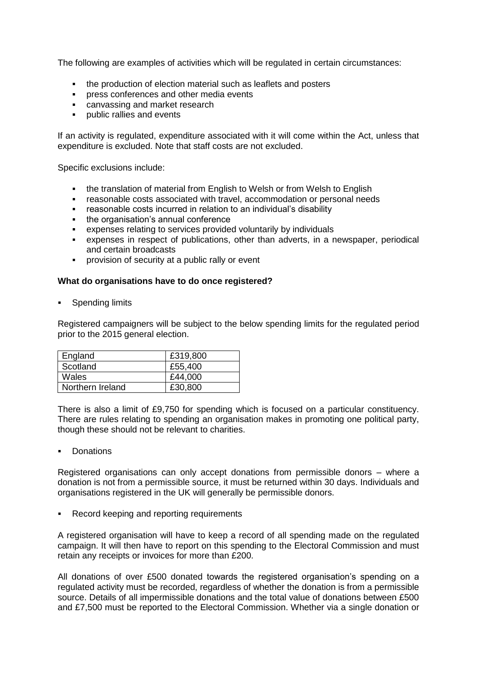The following are examples of activities which will be regulated in certain circumstances:

- the production of election material such as leaflets and posters
- **PEDIENCES** and other media events
- **EXEC** canvassing and market research
- **•** public rallies and events

If an activity is regulated, expenditure associated with it will come within the Act, unless that expenditure is excluded. Note that staff costs are not excluded.

Specific exclusions include:

- the translation of material from English to Welsh or from Welsh to English
- reasonable costs associated with travel, accommodation or personal needs
- reasonable costs incurred in relation to an individual's disability
- the organisation's annual conference
- expenses relating to services provided voluntarily by individuals
- expenses in respect of publications, other than adverts, in a newspaper, periodical and certain broadcasts
- **•** provision of security at a public rally or event

#### **What do organisations have to do once registered?**

Spending limits

Registered campaigners will be subject to the below spending limits for the regulated period prior to the 2015 general election.

| England          | £319,800 |
|------------------|----------|
| Scotland         | £55,400  |
| Wales            | £44,000  |
| Northern Ireland | £30,800  |

There is also a limit of £9,750 for spending which is focused on a particular constituency. There are rules relating to spending an organisation makes in promoting one political party, though these should not be relevant to charities.

**Donations** 

Registered organisations can only accept donations from permissible donors – where a donation is not from a permissible source, it must be returned within 30 days. Individuals and organisations registered in the UK will generally be permissible donors.

• Record keeping and reporting requirements

A registered organisation will have to keep a record of all spending made on the regulated campaign. It will then have to report on this spending to the Electoral Commission and must retain any receipts or invoices for more than £200.

All donations of over £500 donated towards the registered organisation's spending on a regulated activity must be recorded, regardless of whether the donation is from a permissible source. Details of all impermissible donations and the total value of donations between £500 and £7,500 must be reported to the Electoral Commission. Whether via a single donation or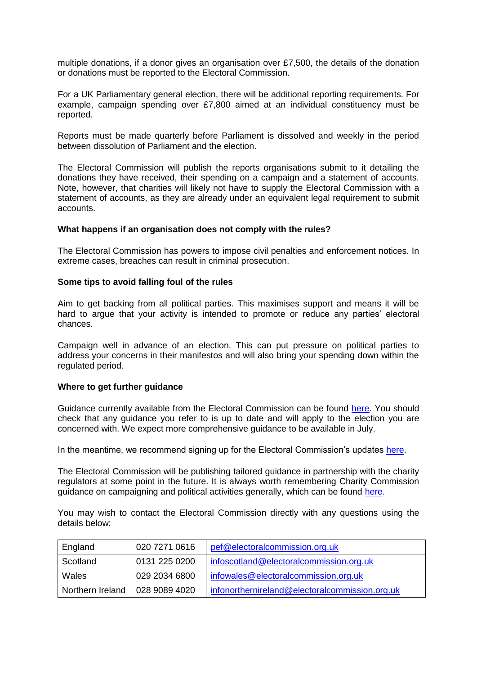multiple donations, if a donor gives an organisation over £7,500, the details of the donation or donations must be reported to the Electoral Commission.

For a UK Parliamentary general election, there will be additional reporting requirements. For example, campaign spending over £7,800 aimed at an individual constituency must be reported.

Reports must be made quarterly before Parliament is dissolved and weekly in the period between dissolution of Parliament and the election.

The Electoral Commission will publish the reports organisations submit to it detailing the donations they have received, their spending on a campaign and a statement of accounts. Note, however, that charities will likely not have to supply the Electoral Commission with a statement of accounts, as they are already under an equivalent legal requirement to submit accounts.

#### **What happens if an organisation does not comply with the rules?**

The Electoral Commission has powers to impose civil penalties and enforcement notices. In extreme cases, breaches can result in criminal prosecution.

#### **Some tips to avoid falling foul of the rules**

Aim to get backing from all political parties. This maximises support and means it will be hard to argue that your activity is intended to promote or reduce any parties' electoral chances.

Campaign well in advance of an election. This can put pressure on political parties to address your concerns in their manifestos and will also bring your spending down within the regulated period.

#### **Where to get further guidance**

Guidance currently available from the Electoral Commission can be found [here.](http://www.electoralcommission.org.uk/i-am-a/party-or-campaigner/non-party-campaigners) You should check that any guidance you refer to is up to date and will apply to the election you are concerned with. We expect more comprehensive guidance to be available in July.

In the meantime, we recommend signing up for the Electoral Commission's updates [here.](http://www.electoralcommission.org.uk/find-information-by-subject/political-parties-campaigning-and-donations/non-party-campaign-spending-and-donations-at-elections/sign-up-for-updates)

The Electoral Commission will be publishing tailored guidance in partnership with the charity regulators at some point in the future. It is always worth remembering Charity Commission guidance on campaigning and political activities generally, which can be found [here.](http://www.charitycommission.gov.uk/publications/cc9.aspx)

You may wish to contact the Electoral Commission directly with any questions using the details below:

| England          | 020 7271 0616   | pef@electoralcommission.org.uk                 |
|------------------|-----------------|------------------------------------------------|
| Scotland         | 0131 225 0200   | infoscotland@electoralcommission.org.uk        |
| Wales            | 029 2034 6800   | infowales@electoralcommission.org.uk           |
| Northern Ireland | l 028 9089 4020 | infonorthernireland@electoralcommission.org.uk |